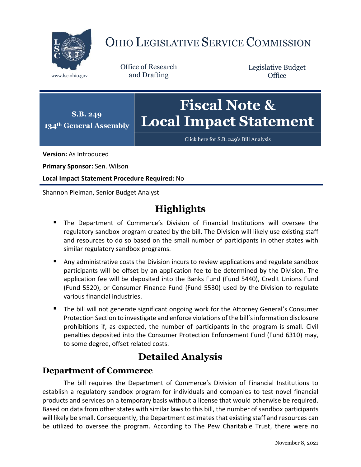

# OHIO LEGISLATIVE SERVICE COMMISSION

Office of Research www.lsc.ohio.gov and Drafting

Legislative Budget **Office** 



[Click here for S.B. 249](https://www.legislature.ohio.gov/legislation/legislation-documents?id=GA134-SB-249)'s Bill Analysis

**Version:** As Introduced

**Primary Sponsor:** Sen. Wilson

**Local Impact Statement Procedure Required:** No

Shannon Pleiman, Senior Budget Analyst

## **Highlights**

- The Department of Commerce's Division of Financial Institutions will oversee the regulatory sandbox program created by the bill. The Division will likely use existing staff and resources to do so based on the small number of participants in other states with similar regulatory sandbox programs.
- **Any administrative costs the Division incurs to review applications and regulate sandbox** participants will be offset by an application fee to be determined by the Division. The application fee will be deposited into the Banks Fund (Fund 5440), Credit Unions Fund (Fund 5520), or Consumer Finance Fund (Fund 5530) used by the Division to regulate various financial industries.
- The bill will not generate significant ongoing work for the Attorney General's Consumer Protection Section to investigate and enforce violations of the bill's information disclosure prohibitions if, as expected, the number of participants in the program is small. Civil penalties deposited into the Consumer Protection Enforcement Fund (Fund 6310) may, to some degree, offset related costs.

## **Detailed Analysis**

### **Department of Commerce**

The bill requires the Department of Commerce's Division of Financial Institutions to establish a regulatory sandbox program for individuals and companies to test novel financial products and services on a temporary basis without a license that would otherwise be required. Based on data from other states with similar laws to this bill, the number of sandbox participants will likely be small. Consequently, the Department estimates that existing staff and resources can be utilized to oversee the program. According to The Pew Charitable Trust, there were no